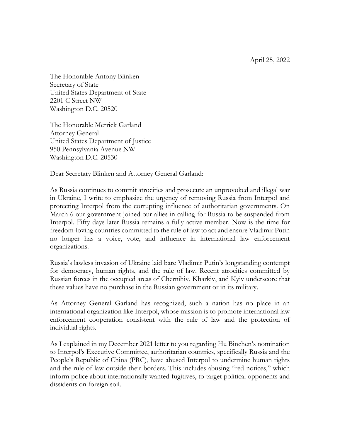April 25, 2022

The Honorable Antony Blinken Secretary of State United States Department of State 2201 C Street NW Washington D.C. 20520

The Honorable Merrick Garland Attorney General United States Department of Justice 950 Pennsylvania Avenue NW Washington D.C. 20530

Dear Secretary Blinken and Attorney General Garland:

As Russia continues to commit atrocities and prosecute an unprovoked and illegal war in Ukraine, I write to emphasize the urgency of removing Russia from Interpol and protecting Interpol from the corrupting influence of authoritarian governments. On March 6 our government joined our allies in calling for Russia to be suspended from Interpol. Fifty days later Russia remains a fully active member. Now is the time for freedom-loving countries committed to the rule of law to act and ensure Vladimir Putin no longer has a voice, vote, and influence in international law enforcement organizations.

Russia's lawless invasion of Ukraine laid bare Vladimir Putin's longstanding contempt for democracy, human rights, and the rule of law. Recent atrocities committed by Russian forces in the occupied areas of Chernihiv, Kharkiv, and Kyiv underscore that these values have no purchase in the Russian government or in its military.

As Attorney General Garland has recognized, such a nation has no place in an international organization like Interpol, whose mission is to promote international law enforcement cooperation consistent with the rule of law and the protection of individual rights.

As I explained in my December 2021 letter to you regarding Hu Binchen's nomination to Interpol's Executive Committee, authoritarian countries, specifically Russia and the People's Republic of China (PRC), have abused Interpol to undermine human rights and the rule of law outside their borders. This includes abusing "red notices," which inform police about internationally wanted fugitives, to target political opponents and dissidents on foreign soil.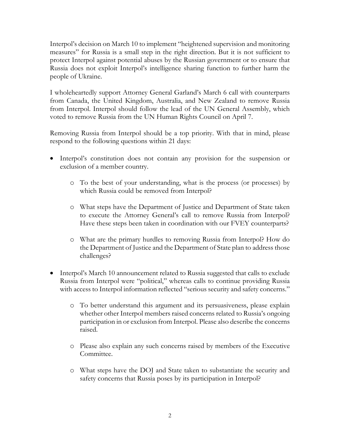Interpol's decision on March 10 to implement "heightened supervision and monitoring measures" for Russia is a small step in the right direction. But it is not sufficient to protect Interpol against potential abuses by the Russian government or to ensure that Russia does not exploit Interpol's intelligence sharing function to further harm the people of Ukraine.

I wholeheartedly support Attorney General Garland's March 6 call with counterparts from Canada, the United Kingdom, Australia, and New Zealand to remove Russia from Interpol. Interpol should follow the lead of the UN General Assembly, which voted to remove Russia from the UN Human Rights Council on April 7.

Removing Russia from Interpol should be a top priority. With that in mind, please respond to the following questions within 21 days:

- Interpol's constitution does not contain any provision for the suspension or exclusion of a member country.
	- o To the best of your understanding, what is the process (or processes) by which Russia could be removed from Interpol?
	- o What steps have the Department of Justice and Department of State taken to execute the Attorney General's call to remove Russia from Interpol? Have these steps been taken in coordination with our FVEY counterparts?
	- o What are the primary hurdles to removing Russia from Interpol? How do the Department of Justice and the Department of State plan to address those challenges?
- Interpol's March 10 announcement related to Russia suggested that calls to exclude Russia from Interpol were "political," whereas calls to continue providing Russia with access to Interpol information reflected "serious security and safety concerns."
	- o To better understand this argument and its persuasiveness, please explain whether other Interpol members raised concerns related to Russia's ongoing participation in or exclusion from Interpol. Please also describe the concerns raised.
	- o Please also explain any such concerns raised by members of the Executive Committee.
	- o What steps have the DOJ and State taken to substantiate the security and safety concerns that Russia poses by its participation in Interpol?